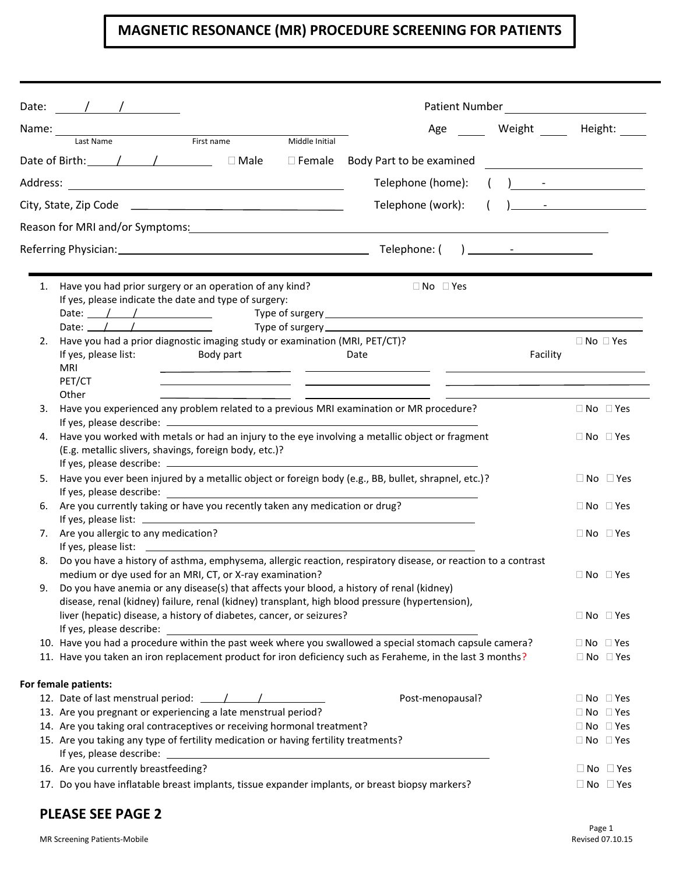## **MAGNETIC RESONANCE (MR) PROCEDURE SCREENING FOR PATIENTS**

|                                                                         |                                                                                                                                                                                                                                                                                                                                                                                                                                                                                |                                                                                                                                                                                                                                                                                                                                                                                                                                                               |                                        | Patient Number<br><u>and the company of the company of the company of the company of the company of the company of the company of the company of the company of the company of the company of the company of the company of the company of the com</u> |                                                |
|-------------------------------------------------------------------------|--------------------------------------------------------------------------------------------------------------------------------------------------------------------------------------------------------------------------------------------------------------------------------------------------------------------------------------------------------------------------------------------------------------------------------------------------------------------------------|---------------------------------------------------------------------------------------------------------------------------------------------------------------------------------------------------------------------------------------------------------------------------------------------------------------------------------------------------------------------------------------------------------------------------------------------------------------|----------------------------------------|--------------------------------------------------------------------------------------------------------------------------------------------------------------------------------------------------------------------------------------------------------|------------------------------------------------|
|                                                                         | Name: _______                                                                                                                                                                                                                                                                                                                                                                                                                                                                  |                                                                                                                                                                                                                                                                                                                                                                                                                                                               | Age                                    | Weight                                                                                                                                                                                                                                                 | Height:                                        |
|                                                                         | First name<br>Last Name                                                                                                                                                                                                                                                                                                                                                                                                                                                        | Middle Initial                                                                                                                                                                                                                                                                                                                                                                                                                                                |                                        |                                                                                                                                                                                                                                                        |                                                |
|                                                                         | Date of Birth: $\qquad$ / $\qquad$ / $\qquad$ $\Box$ Male                                                                                                                                                                                                                                                                                                                                                                                                                      |                                                                                                                                                                                                                                                                                                                                                                                                                                                               | $\Box$ Female Body Part to be examined |                                                                                                                                                                                                                                                        |                                                |
|                                                                         |                                                                                                                                                                                                                                                                                                                                                                                                                                                                                | $\left(\begin{array}{ccc} 1 & 1 \end{array}\right)$ and $\left(\begin{array}{ccc} 1 & 1 \end{array}\right)$ and $\left(\begin{array}{ccc} 1 & 1 \end{array}\right)$ and $\left(\begin{array}{ccc} 1 & 1 \end{array}\right)$ and $\left(\begin{array}{ccc} 1 & 1 \end{array}\right)$ and $\left(\begin{array}{ccc} 1 & 1 \end{array}\right)$ and $\left(\begin{array}{ccc} 1 & 1 \end{array}\right)$ and $\left(\begin{array}{ccc} 1 & 1 \end{array}\right)$ a |                                        |                                                                                                                                                                                                                                                        |                                                |
|                                                                         |                                                                                                                                                                                                                                                                                                                                                                                                                                                                                |                                                                                                                                                                                                                                                                                                                                                                                                                                                               | Telephone (work):                      |                                                                                                                                                                                                                                                        | $\begin{pmatrix} 1 & 1 \\ 1 & 1 \end{pmatrix}$ |
|                                                                         | Reason for MRI and/or Symptoms: 1988 and 2008 and 2008 and 2010 and 2010 and 2010 and 2010 and 2010 and 2010 and 201                                                                                                                                                                                                                                                                                                                                                           |                                                                                                                                                                                                                                                                                                                                                                                                                                                               |                                        |                                                                                                                                                                                                                                                        |                                                |
|                                                                         |                                                                                                                                                                                                                                                                                                                                                                                                                                                                                |                                                                                                                                                                                                                                                                                                                                                                                                                                                               |                                        |                                                                                                                                                                                                                                                        |                                                |
|                                                                         |                                                                                                                                                                                                                                                                                                                                                                                                                                                                                |                                                                                                                                                                                                                                                                                                                                                                                                                                                               |                                        |                                                                                                                                                                                                                                                        |                                                |
|                                                                         | Have you had prior surgery or an operation of any kind?<br>If yes, please indicate the date and type of surgery:<br>Date: $\angle$ / / $\angle$ / $\angle$ / $\angle$ / $\angle$ / $\angle$ / $\angle$ / $\angle$ / $\angle$ / $\angle$ / $\angle$ / $\angle$ / $\angle$ / $\angle$ / $\angle$ / $\angle$ / $\angle$ / $\angle$ / $\angle$ / $\angle$ / $\angle$ / $\angle$ / $\angle$ / $\angle$ / $\angle$ / $\angle$ / $\angle$ / $\angle$ / $\angle$ / $\angle$ / $\angle$ |                                                                                                                                                                                                                                                                                                                                                                                                                                                               | $\Box$ No $\Box$ Yes                   |                                                                                                                                                                                                                                                        |                                                |
|                                                                         | Date: $\sqrt{2\pi}$                                                                                                                                                                                                                                                                                                                                                                                                                                                            |                                                                                                                                                                                                                                                                                                                                                                                                                                                               |                                        |                                                                                                                                                                                                                                                        |                                                |
| 2.                                                                      | Have you had a prior diagnostic imaging study or examination (MRI, PET/CT)?<br>If yes, please list:<br>Body part<br><b>MRI</b>                                                                                                                                                                                                                                                                                                                                                 |                                                                                                                                                                                                                                                                                                                                                                                                                                                               | Date                                   | Facility                                                                                                                                                                                                                                               | $\Box$ No $\Box$ Yes                           |
|                                                                         | PET/CT<br>Other                                                                                                                                                                                                                                                                                                                                                                                                                                                                |                                                                                                                                                                                                                                                                                                                                                                                                                                                               |                                        |                                                                                                                                                                                                                                                        |                                                |
|                                                                         | Have you experienced any problem related to a previous MRI examination or MR procedure?                                                                                                                                                                                                                                                                                                                                                                                        |                                                                                                                                                                                                                                                                                                                                                                                                                                                               |                                        |                                                                                                                                                                                                                                                        | $\Box$ No $\Box$ Yes                           |
| 4.                                                                      | Have you worked with metals or had an injury to the eye involving a metallic object or fragment<br>(E.g. metallic slivers, shavings, foreign body, etc.)?                                                                                                                                                                                                                                                                                                                      |                                                                                                                                                                                                                                                                                                                                                                                                                                                               |                                        |                                                                                                                                                                                                                                                        | $\Box$ No $\Box$ Yes                           |
|                                                                         | Have you ever been injured by a metallic object or foreign body (e.g., BB, bullet, shrapnel, etc.)?                                                                                                                                                                                                                                                                                                                                                                            |                                                                                                                                                                                                                                                                                                                                                                                                                                                               |                                        |                                                                                                                                                                                                                                                        | $\Box$ No $\Box$ Yes                           |
| 6.                                                                      | Are you currently taking or have you recently taken any medication or drug?                                                                                                                                                                                                                                                                                                                                                                                                    |                                                                                                                                                                                                                                                                                                                                                                                                                                                               |                                        |                                                                                                                                                                                                                                                        | $\Box$ No $\Box$ Yes                           |
|                                                                         | 7. Are you allergic to any medication?                                                                                                                                                                                                                                                                                                                                                                                                                                         |                                                                                                                                                                                                                                                                                                                                                                                                                                                               |                                        |                                                                                                                                                                                                                                                        | $\Box$ No $\Box$ Yes                           |
|                                                                         | Do you have a history of asthma, emphysema, allergic reaction, respiratory disease, or reaction to a contrast                                                                                                                                                                                                                                                                                                                                                                  |                                                                                                                                                                                                                                                                                                                                                                                                                                                               |                                        |                                                                                                                                                                                                                                                        |                                                |
| 9.                                                                      | medium or dye used for an MRI, CT, or X-ray examination?<br>Do you have anemia or any disease(s) that affects your blood, a history of renal (kidney)<br>disease, renal (kidney) failure, renal (kidney) transplant, high blood pressure (hypertension),                                                                                                                                                                                                                       |                                                                                                                                                                                                                                                                                                                                                                                                                                                               |                                        |                                                                                                                                                                                                                                                        | $\Box$ No $\Box$ Yes                           |
|                                                                         | liver (hepatic) disease, a history of diabetes, cancer, or seizures?<br>If yes, please describe:                                                                                                                                                                                                                                                                                                                                                                               |                                                                                                                                                                                                                                                                                                                                                                                                                                                               |                                        |                                                                                                                                                                                                                                                        | $\Box$ No $\Box$ Yes                           |
|                                                                         | 10. Have you had a procedure within the past week where you swallowed a special stomach capsule camera?                                                                                                                                                                                                                                                                                                                                                                        |                                                                                                                                                                                                                                                                                                                                                                                                                                                               |                                        |                                                                                                                                                                                                                                                        | $\Box$ No $\Box$ Yes                           |
|                                                                         | 11. Have you taken an iron replacement product for iron deficiency such as Feraheme, in the last 3 months?                                                                                                                                                                                                                                                                                                                                                                     |                                                                                                                                                                                                                                                                                                                                                                                                                                                               |                                        |                                                                                                                                                                                                                                                        | $\Box$ No $\Box$ Yes                           |
|                                                                         | For female patients:                                                                                                                                                                                                                                                                                                                                                                                                                                                           |                                                                                                                                                                                                                                                                                                                                                                                                                                                               |                                        |                                                                                                                                                                                                                                                        |                                                |
|                                                                         | 12. Date of last menstrual period: $\frac{1}{\sqrt{1-\frac{1}{2}}}\frac{1}{\sqrt{1-\frac{1}{2}}}\frac{1}{\sqrt{1-\frac{1}{2}}}\frac{1}{\sqrt{1-\frac{1}{2}}}\frac{1}{\sqrt{1-\frac{1}{2}}}\frac{1}{\sqrt{1-\frac{1}{2}}}\frac{1}{\sqrt{1-\frac{1}{2}}}\frac{1}{\sqrt{1-\frac{1}{2}}}\frac{1}{\sqrt{1-\frac{1}{2}}}\frac{1}{\sqrt{1-\frac{1}{2}}}\frac{1}{\sqrt{1-\frac{1}{2}}}\frac{1}{\sqrt{1$                                                                                |                                                                                                                                                                                                                                                                                                                                                                                                                                                               | Post-menopausal?                       |                                                                                                                                                                                                                                                        | $\Box$ No $\Box$ Yes                           |
|                                                                         | 13. Are you pregnant or experiencing a late menstrual period?                                                                                                                                                                                                                                                                                                                                                                                                                  |                                                                                                                                                                                                                                                                                                                                                                                                                                                               |                                        |                                                                                                                                                                                                                                                        | $\Box$ No $\Box$ Yes                           |
| 14. Are you taking oral contraceptives or receiving hormonal treatment? |                                                                                                                                                                                                                                                                                                                                                                                                                                                                                |                                                                                                                                                                                                                                                                                                                                                                                                                                                               |                                        |                                                                                                                                                                                                                                                        |                                                |
|                                                                         | 15. Are you taking any type of fertility medication or having fertility treatments?                                                                                                                                                                                                                                                                                                                                                                                            |                                                                                                                                                                                                                                                                                                                                                                                                                                                               |                                        |                                                                                                                                                                                                                                                        | $\Box$ No $\Box$ Yes<br>$\Box$ No $\Box$ Yes   |
|                                                                         | 16. Are you currently breastfeeding?                                                                                                                                                                                                                                                                                                                                                                                                                                           |                                                                                                                                                                                                                                                                                                                                                                                                                                                               |                                        |                                                                                                                                                                                                                                                        | $\Box$ No $\Box$ Yes                           |
|                                                                         | 17. Do you have inflatable breast implants, tissue expander implants, or breast biopsy markers?                                                                                                                                                                                                                                                                                                                                                                                |                                                                                                                                                                                                                                                                                                                                                                                                                                                               |                                        |                                                                                                                                                                                                                                                        | $\Box$ No $\Box$ Yes                           |

## **PLEASE SEE PAGE 2**